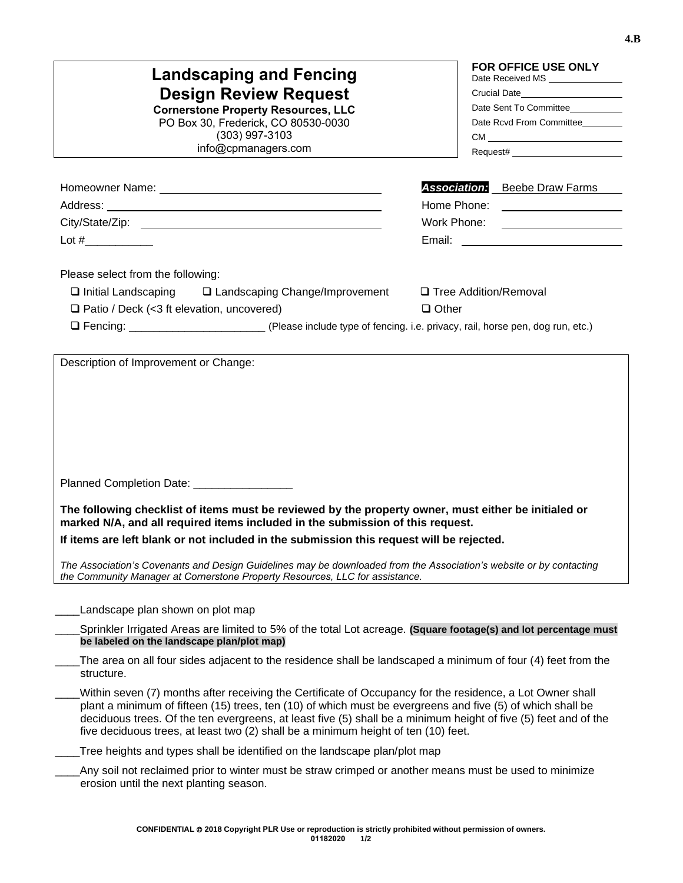| <b>FOR OFFICE USE ONLY</b><br><b>Landscaping and Fencing</b><br>Date Received MS<br><b>Design Review Request</b><br>Crucial Date________________________<br>Date Sent To Committee<br><b>Cornerstone Property Resources, LLC</b><br>PO Box 30, Frederick, CO 80530-0030<br>Date Rcvd From Committee<br>$(303)$ 997-3103<br>info@cpmanagers.com                                                                                                                                                                                     |                                         |  |  |
|------------------------------------------------------------------------------------------------------------------------------------------------------------------------------------------------------------------------------------------------------------------------------------------------------------------------------------------------------------------------------------------------------------------------------------------------------------------------------------------------------------------------------------|-----------------------------------------|--|--|
|                                                                                                                                                                                                                                                                                                                                                                                                                                                                                                                                    | <b>Association:</b> Beebe Draw Farms    |  |  |
|                                                                                                                                                                                                                                                                                                                                                                                                                                                                                                                                    |                                         |  |  |
|                                                                                                                                                                                                                                                                                                                                                                                                                                                                                                                                    | Work Phone: ____________________        |  |  |
|                                                                                                                                                                                                                                                                                                                                                                                                                                                                                                                                    |                                         |  |  |
| Please select from the following:<br>$\Box$ Initial Landscaping $\Box$ Landscaping Change/Improvement<br>□ Patio / Deck (<3 ft elevation, uncovered)<br>□ Fencing: ___________________________(Please include type of fencing. i.e. privacy, rail, horse pen, dog run, etc.)                                                                                                                                                                                                                                                       | □ Tree Addition/Removal<br>$\Box$ Other |  |  |
| Planned Completion Date: ____________<br>The following checklist of items must be reviewed by the property owner, must either be initialed or<br>marked N/A, and all required items included in the submission of this request.<br>If items are left blank or not included in the submission this request will be rejected.<br>The Association's Covenants and Design Guidelines may be downloaded from the Association's website or by contacting<br>the Community Manager at Cornerstone Property Resources, LLC for assistance. |                                         |  |  |
| Landscape plan shown on plot map<br>Sprinkler Irrigated Areas are limited to 5% of the total Lot acreage. (Square footage(s) and lot percentage must<br>be labeled on the landscape plan/plot map)                                                                                                                                                                                                                                                                                                                                 |                                         |  |  |
| The area on all four sides adjacent to the residence shall be landscaped a minimum of four (4) feet from the<br>structure.                                                                                                                                                                                                                                                                                                                                                                                                         |                                         |  |  |
| Within seven (7) months after receiving the Certificate of Occupancy for the residence, a Lot Owner shall<br>plant a minimum of fifteen (15) trees, ten (10) of which must be evergreens and five (5) of which shall be<br>deciduous trees. Of the ten evergreens, at least five (5) shall be a minimum height of five (5) feet and of the<br>five deciduous trees, at least two (2) shall be a minimum height of ten (10) feet.                                                                                                   |                                         |  |  |
| Tree heights and types shall be identified on the landscape plan/plot map                                                                                                                                                                                                                                                                                                                                                                                                                                                          |                                         |  |  |
| Any soil not reclaimed prior to winter must be straw crimped or another means must be used to minimize<br>erosion until the next planting season.                                                                                                                                                                                                                                                                                                                                                                                  |                                         |  |  |